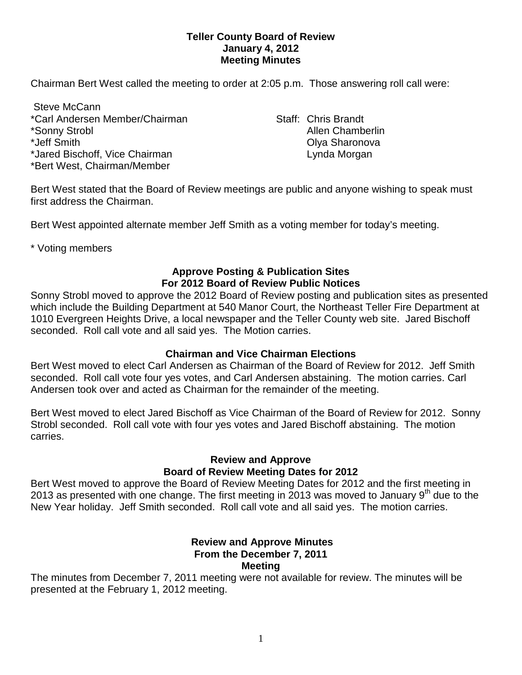### **Teller County Board of Review January 4, 2012 Meeting Minutes**

Chairman Bert West called the meeting to order at 2:05 p.m. Those answering roll call were:

Steve McCann \*Carl Andersen Member/Chairman New Staff: Chris Brandt \*Sonny Strobl Allen Chamberlin **Allen** Chamberlin \*Jeff Smith Olya Sharonova \*Jared Bischoff, Vice Chairman Lynda Morgan Lynda Morgan \*Bert West, Chairman/Member

Bert West stated that the Board of Review meetings are public and anyone wishing to speak must first address the Chairman.

Bert West appointed alternate member Jeff Smith as a voting member for today's meeting.

\* Voting members

## **Approve Posting & Publication Sites For 2012 Board of Review Public Notices**

Sonny Strobl moved to approve the 2012 Board of Review posting and publication sites as presented which include the Building Department at 540 Manor Court, the Northeast Teller Fire Department at 1010 Evergreen Heights Drive, a local newspaper and the Teller County web site. Jared Bischoff seconded. Roll call vote and all said yes. The Motion carries.

### **Chairman and Vice Chairman Elections**

Bert West moved to elect Carl Andersen as Chairman of the Board of Review for 2012. Jeff Smith seconded. Roll call vote four yes votes, and Carl Andersen abstaining. The motion carries. Carl Andersen took over and acted as Chairman for the remainder of the meeting.

Bert West moved to elect Jared Bischoff as Vice Chairman of the Board of Review for 2012. Sonny Strobl seconded. Roll call vote with four yes votes and Jared Bischoff abstaining. The motion carries.

# **Review and Approve Board of Review Meeting Dates for 2012**

Bert West moved to approve the Board of Review Meeting Dates for 2012 and the first meeting in 2013 as presented with one change. The first meeting in 2013 was moved to January  $9<sup>th</sup>$  due to the New Year holiday. Jeff Smith seconded. Roll call vote and all said yes. The motion carries.

#### **Review and Approve Minutes From the December 7, 2011 Meeting**

The minutes from December 7, 2011 meeting were not available for review. The minutes will be presented at the February 1, 2012 meeting.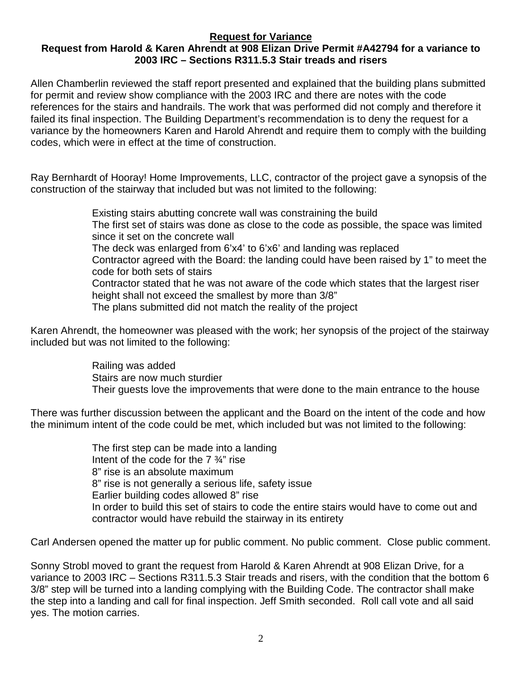## **Request for Variance**

## **Request from Harold & Karen Ahrendt at 908 Elizan Drive Permit #A42794 for a variance to 2003 IRC – Sections R311.5.3 Stair treads and risers**

Allen Chamberlin reviewed the staff report presented and explained that the building plans submitted for permit and review show compliance with the 2003 IRC and there are notes with the code references for the stairs and handrails. The work that was performed did not comply and therefore it failed its final inspection. The Building Department's recommendation is to deny the request for a variance by the homeowners Karen and Harold Ahrendt and require them to comply with the building codes, which were in effect at the time of construction.

Ray Bernhardt of Hooray! Home Improvements, LLC, contractor of the project gave a synopsis of the construction of the stairway that included but was not limited to the following:

> Existing stairs abutting concrete wall was constraining the build The first set of stairs was done as close to the code as possible, the space was limited since it set on the concrete wall The deck was enlarged from 6'x4' to 6'x6' and landing was replaced Contractor agreed with the Board: the landing could have been raised by 1" to meet the code for both sets of stairs Contractor stated that he was not aware of the code which states that the largest riser height shall not exceed the smallest by more than 3/8" The plans submitted did not match the reality of the project

Karen Ahrendt, the homeowner was pleased with the work; her synopsis of the project of the stairway included but was not limited to the following:

> Railing was added Stairs are now much sturdier Their guests love the improvements that were done to the main entrance to the house

There was further discussion between the applicant and the Board on the intent of the code and how the minimum intent of the code could be met, which included but was not limited to the following:

> The first step can be made into a landing Intent of the code for the 7 ¾" rise 8" rise is an absolute maximum 8" rise is not generally a serious life, safety issue Earlier building codes allowed 8" rise In order to build this set of stairs to code the entire stairs would have to come out and contractor would have rebuild the stairway in its entirety

Carl Andersen opened the matter up for public comment. No public comment. Close public comment.

Sonny Strobl moved to grant the request from Harold & Karen Ahrendt at 908 Elizan Drive, for a variance to 2003 IRC – Sections R311.5.3 Stair treads and risers, with the condition that the bottom 6 3/8" step will be turned into a landing complying with the Building Code. The contractor shall make the step into a landing and call for final inspection. Jeff Smith seconded. Roll call vote and all said yes. The motion carries.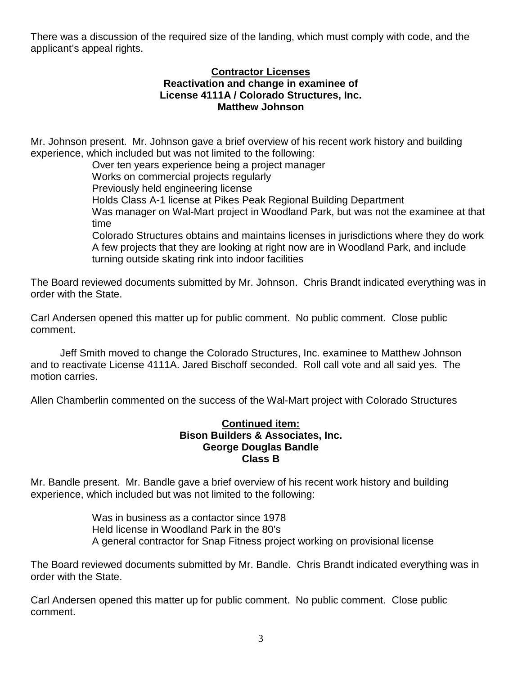There was a discussion of the required size of the landing, which must comply with code, and the applicant's appeal rights.

#### **Contractor Licenses Reactivation and change in examinee of License 4111A / Colorado Structures, Inc. Matthew Johnson**

Mr. Johnson present. Mr. Johnson gave a brief overview of his recent work history and building experience, which included but was not limited to the following:

Over ten years experience being a project manager Works on commercial projects regularly Previously held engineering license Holds Class A-1 license at Pikes Peak Regional Building Department Was manager on Wal-Mart project in Woodland Park, but was not the examinee at that time Colorado Structures obtains and maintains licenses in jurisdictions where they do work A few projects that they are looking at right now are in Woodland Park, and include turning outside skating rink into indoor facilities

The Board reviewed documents submitted by Mr. Johnson. Chris Brandt indicated everything was in

Carl Andersen opened this matter up for public comment. No public comment. Close public comment.

order with the State.

Jeff Smith moved to change the Colorado Structures, Inc. examinee to Matthew Johnson and to reactivate License 4111A. Jared Bischoff seconded. Roll call vote and all said yes. The motion carries.

Allen Chamberlin commented on the success of the Wal-Mart project with Colorado Structures

### **Continued item: Bison Builders & Associates, Inc. George Douglas Bandle Class B**

Mr. Bandle present. Mr. Bandle gave a brief overview of his recent work history and building experience, which included but was not limited to the following:

> Was in business as a contactor since 1978 Held license in Woodland Park in the 80's A general contractor for Snap Fitness project working on provisional license

The Board reviewed documents submitted by Mr. Bandle. Chris Brandt indicated everything was in order with the State.

Carl Andersen opened this matter up for public comment. No public comment. Close public comment.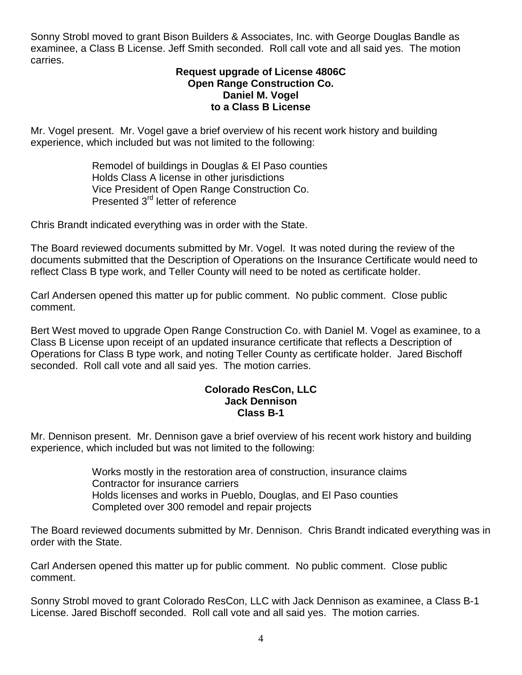Sonny Strobl moved to grant Bison Builders & Associates, Inc. with George Douglas Bandle as examinee, a Class B License. Jeff Smith seconded. Roll call vote and all said yes. The motion carries.

#### **Request upgrade of License 4806C Open Range Construction Co. Daniel M. Vogel to a Class B License**

Mr. Vogel present. Mr. Vogel gave a brief overview of his recent work history and building experience, which included but was not limited to the following:

> Remodel of buildings in Douglas & El Paso counties Holds Class A license in other jurisdictions Vice President of Open Range Construction Co. Presented 3<sup>rd</sup> letter of reference

Chris Brandt indicated everything was in order with the State.

The Board reviewed documents submitted by Mr. Vogel. It was noted during the review of the documents submitted that the Description of Operations on the Insurance Certificate would need to reflect Class B type work, and Teller County will need to be noted as certificate holder.

Carl Andersen opened this matter up for public comment. No public comment. Close public comment.

Bert West moved to upgrade Open Range Construction Co. with Daniel M. Vogel as examinee, to a Class B License upon receipt of an updated insurance certificate that reflects a Description of Operations for Class B type work, and noting Teller County as certificate holder. Jared Bischoff seconded. Roll call vote and all said yes. The motion carries.

#### **Colorado ResCon, LLC Jack Dennison Class B-1**

Mr. Dennison present. Mr. Dennison gave a brief overview of his recent work history and building experience, which included but was not limited to the following:

> Works mostly in the restoration area of construction, insurance claims Contractor for insurance carriers Holds licenses and works in Pueblo, Douglas, and El Paso counties Completed over 300 remodel and repair projects

The Board reviewed documents submitted by Mr. Dennison. Chris Brandt indicated everything was in order with the State.

Carl Andersen opened this matter up for public comment. No public comment. Close public comment.

Sonny Strobl moved to grant Colorado ResCon, LLC with Jack Dennison as examinee, a Class B-1 License. Jared Bischoff seconded. Roll call vote and all said yes. The motion carries.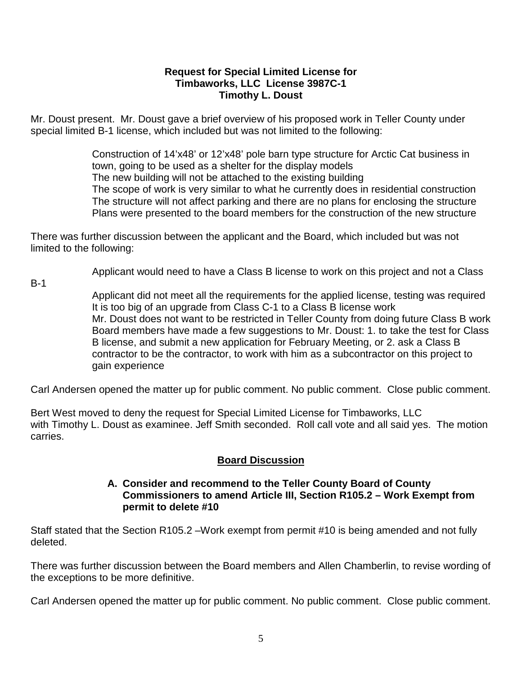## **Request for Special Limited License for Timbaworks, LLC License 3987C-1 Timothy L. Doust**

Mr. Doust present. Mr. Doust gave a brief overview of his proposed work in Teller County under special limited B-1 license, which included but was not limited to the following:

> Construction of 14'x48' or 12'x48' pole barn type structure for Arctic Cat business in town, going to be used as a shelter for the display models The new building will not be attached to the existing building The scope of work is very similar to what he currently does in residential construction The structure will not affect parking and there are no plans for enclosing the structure Plans were presented to the board members for the construction of the new structure

There was further discussion between the applicant and the Board, which included but was not limited to the following:

Applicant would need to have a Class B license to work on this project and not a Class

B-1

Applicant did not meet all the requirements for the applied license, testing was required It is too big of an upgrade from Class C-1 to a Class B license work Mr. Doust does not want to be restricted in Teller County from doing future Class B work Board members have made a few suggestions to Mr. Doust: 1. to take the test for Class B license, and submit a new application for February Meeting, or 2. ask a Class B contractor to be the contractor, to work with him as a subcontractor on this project to gain experience

Carl Andersen opened the matter up for public comment. No public comment. Close public comment.

Bert West moved to deny the request for Special Limited License for Timbaworks, LLC with Timothy L. Doust as examinee. Jeff Smith seconded. Roll call vote and all said yes. The motion carries.

## **Board Discussion**

## **A. Consider and recommend to the Teller County Board of County Commissioners to amend Article III, Section R105.2 – Work Exempt from permit to delete #10**

Staff stated that the Section R105.2 –Work exempt from permit #10 is being amended and not fully deleted.

There was further discussion between the Board members and Allen Chamberlin, to revise wording of the exceptions to be more definitive.

Carl Andersen opened the matter up for public comment. No public comment. Close public comment.